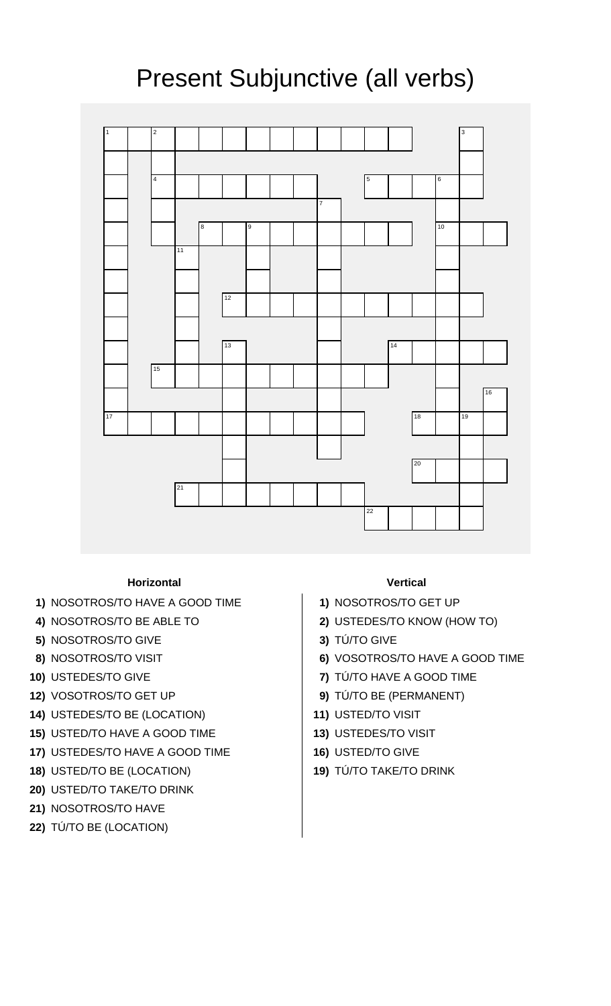## Present Subjunctive (all verbs)



## **Horizontal Vertical**

- **1)** NOSOTROS/TO HAVE A GOOD TIME **1)** NOSOTROS/TO GET UP
- 
- **5)** NOSOTROS/TO GIVE **3)** TÚ/TO GIVE
- 
- 
- 
- **14)** USTEDES/TO BE (LOCATION) **11)** USTED/TO VISIT
- **15)** USTED/TO HAVE A GOOD TIME **13)** USTEDES/TO VISIT
- **17)** USTEDES/TO HAVE A GOOD TIME **16)** USTED/TO GIVE
- **18)** USTED/TO BE (LOCATION) **19)** TÚ/TO TAKE/TO DRINK
- **20)** USTED/TO TAKE/TO DRINK
- **21)** NOSOTROS/TO HAVE
- **22)** TÚ/TO BE (LOCATION)

- 
- **4)** NOSOTROS/TO BE ABLE TO **2)** USTEDES/TO KNOW (HOW TO)
	-
- **8)** NOSOTROS/TO VISIT **6)** VOSOTROS/TO HAVE A GOOD TIME
- **10)** USTEDES/TO GIVE **7)** TÚ/TO HAVE A GOOD TIME
- **12)** VOSOTROS/TO GET UP **9)** TÚ/TO BE (PERMANENT)
	-
	-
	-
	-